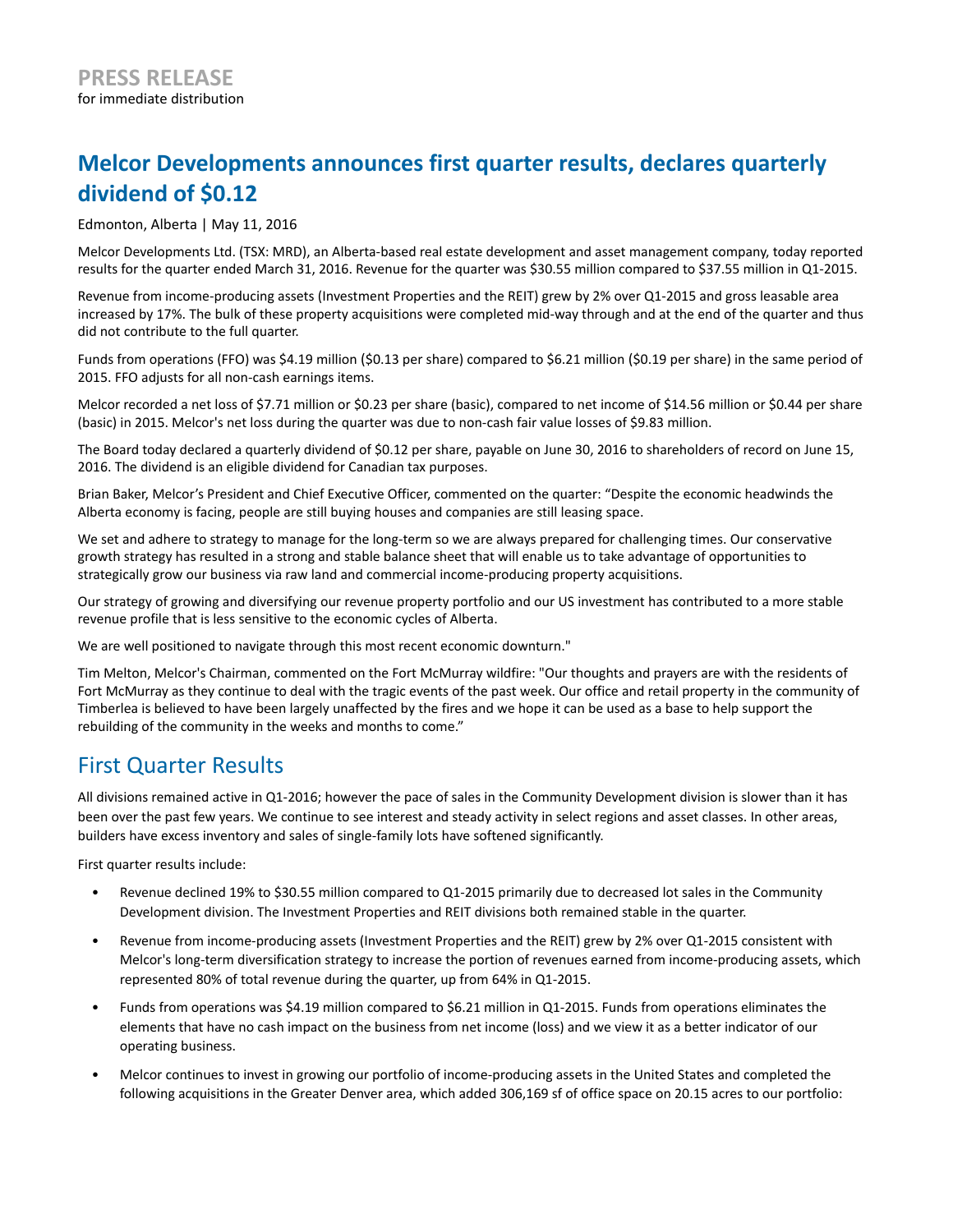# **Melcor Developments announces first quarter results, declares quarterly dividend of \$0.12**

Edmonton, Alberta | May 11, 2016

Melcor Developments Ltd. (TSX: MRD), an Alberta-based real estate development and asset management company, today reported results for the quarter ended March 31, 2016. Revenue for the quarter was \$30.55 million compared to \$37.55 million in Q1-2015.

Revenue from income-producing assets (Investment Properties and the REIT) grew by 2% over Q1-2015 and gross leasable area increased by 17%. The bulk of these property acquisitions were completed mid-way through and at the end of the quarter and thus did not contribute to the full quarter.

Funds from operations (FFO) was \$4.19 million (\$0.13 per share) compared to \$6.21 million (\$0.19 per share) in the same period of 2015. FFO adjusts for all non-cash earnings items.

Melcor recorded a net loss of \$7.71 million or \$0.23 per share (basic), compared to net income of \$14.56 million or \$0.44 per share (basic) in 2015. Melcor's net loss during the quarter was due to non-cash fair value losses of \$9.83 million.

The Board today declared a quarterly dividend of \$0.12 per share, payable on June 30, 2016 to shareholders of record on June 15, 2016. The dividend is an eligible dividend for Canadian tax purposes.

Brian Baker, Melcor's President and Chief Executive Officer, commented on the quarter: "Despite the economic headwinds the Alberta economy is facing, people are still buying houses and companies are still leasing space.

We set and adhere to strategy to manage for the long-term so we are always prepared for challenging times. Our conservative growth strategy has resulted in a strong and stable balance sheet that will enable us to take advantage of opportunities to strategically grow our business via raw land and commercial income-producing property acquisitions.

Our strategy of growing and diversifying our revenue property portfolio and our US investment has contributed to a more stable revenue profile that is less sensitive to the economic cycles of Alberta.

We are well positioned to navigate through this most recent economic downturn."

Tim Melton, Melcor's Chairman, commented on the Fort McMurray wildfire: "Our thoughts and prayers are with the residents of Fort McMurray as they continue to deal with the tragic events of the past week. Our office and retail property in the community of Timberlea is believed to have been largely unaffected by the fires and we hope it can be used as a base to help support the rebuilding of the community in the weeks and months to come."

### First Quarter Results

All divisions remained active in Q1-2016; however the pace of sales in the Community Development division is slower than it has been over the past few years. We continue to see interest and steady activity in select regions and asset classes. In other areas, builders have excess inventory and sales of single-family lots have softened significantly.

First quarter results include:

- Revenue declined 19% to \$30.55 million compared to Q1-2015 primarily due to decreased lot sales in the Community Development division. The Investment Properties and REIT divisions both remained stable in the quarter.
- Revenue from income-producing assets (Investment Properties and the REIT) grew by 2% over Q1-2015 consistent with Melcor's long-term diversification strategy to increase the portion of revenues earned from income-producing assets, which represented 80% of total revenue during the quarter, up from 64% in Q1-2015.
- Funds from operations was \$4.19 million compared to \$6.21 million in Q1-2015. Funds from operations eliminates the elements that have no cash impact on the business from net income (loss) and we view it as a better indicator of our operating business.
- Melcor continues to invest in growing our portfolio of income-producing assets in the United States and completed the following acquisitions in the Greater Denver area, which added 306,169 sf of office space on 20.15 acres to our portfolio: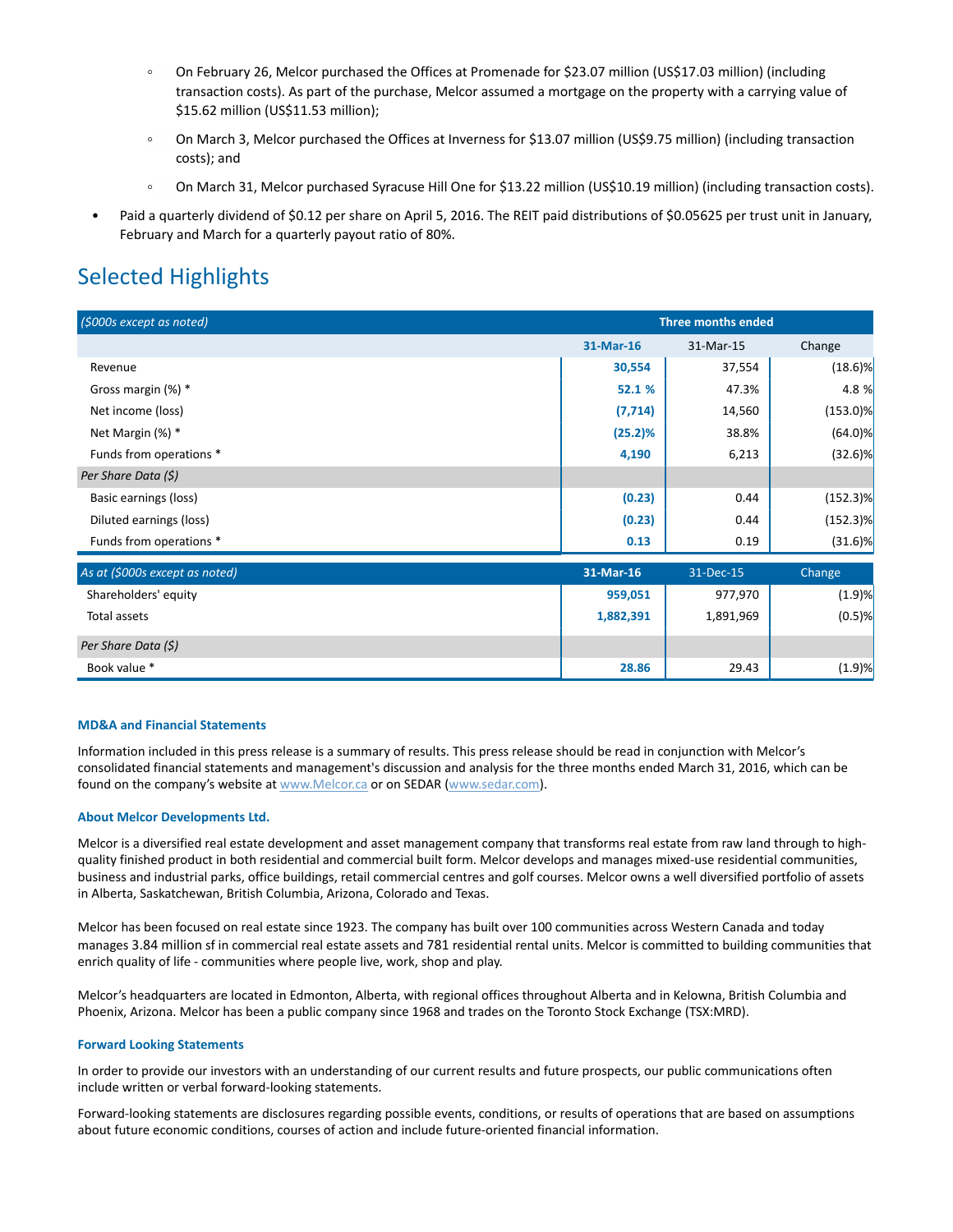- $\circ$ On February 26, Melcor purchased the Offices at Promenade for \$23.07 million (US\$17.03 million) (including transaction costs). As part of the purchase, Melcor assumed a mortgage on the property with a carrying value of \$15.62 million (US\$11.53 million);
- On March 3, Melcor purchased the Offices at Inverness for \$13.07 million (US\$9.75 million) (including transaction  $\circ$ costs); and
- $\circ$ On March 31, Melcor purchased Syracuse Hill One for \$13.22 million (US\$10.19 million) (including transaction costs).
- Paid a quarterly dividend of \$0.12 per share on April 5, 2016. The REIT paid distributions of \$0.05625 per trust unit in January, February and March for a quarterly payout ratio of 80%.

## Selected Highlights

| (\$000s except as noted)     |           | <b>Three months ended</b> |             |  |
|------------------------------|-----------|---------------------------|-------------|--|
|                              | 31-Mar-16 | 31-Mar-15                 | Change      |  |
| Revenue                      | 30,554    | 37,554                    | $(18.6)$ %  |  |
| Gross margin (%) *           | 52.1%     | 47.3%                     | 4.8 %       |  |
| Net income (loss)            | (7, 714)  | 14,560                    | $(153.0)\%$ |  |
| Net Margin (%) *             | (25.2)%   | 38.8%                     | $(64.0)$ %  |  |
| Funds from operations *      | 4,190     | 6,213                     | $(32.6)$ %  |  |
| Per Share Data (\$)          |           |                           |             |  |
| Basic earnings (loss)        | (0.23)    | 0.44                      | $(152.3)\%$ |  |
| Diluted earnings (loss)      | (0.23)    | 0.44                      | $(152.3)\%$ |  |
| Funds from operations *      | 0.13      | 0.19                      | $(31.6)$ %  |  |
| the company's company's com- |           |                           |             |  |

| As at (\$000s except as noted) | 31-Mar-16 | 31-Dec-15 | Change    |
|--------------------------------|-----------|-----------|-----------|
| Shareholders' equity           | 959,051   | 977,970   | (1.9)%    |
| Total assets                   | 1,882,391 | 1,891,969 | $(0.5)$ % |
| Per Share Data (\$)            |           |           |           |
| Book value *                   | 28.86     | 29.43     | (1.9)%    |

#### **MD&A and Financial Statements**

Information included in this press release is a summary of results. This press release should be read in conjunction with Melcor's consolidated financial statements and management's discussion and analysis for the three months ended March 31, 2016, which can be found on the company's website at www.Melcor.ca or on SEDAR (www.sedar.com).

#### **About Melcor Developments Ltd.**

Melcor is a diversified real estate development and asset management company that transforms real estate from raw land through to highquality finished product in both residential and commercial built form. Melcor develops and manages mixed-use residential communities, business and industrial parks, office buildings, retail commercial centres and golf courses. Melcor owns a well diversified portfolio of assets in Alberta, Saskatchewan, British Columbia, Arizona, Colorado and Texas.

Melcor has been focused on real estate since 1923. The company has built over 100 communities across Western Canada and today manages 3.84 million sf in commercial real estate assets and 781 residential rental units. Melcor is committed to building communities that enrich quality of life - communities where people live, work, shop and play.

Melcor's headquarters are located in Edmonton, Alberta, with regional offices throughout Alberta and in Kelowna, British Columbia and Phoenix, Arizona. Melcor has been a public company since 1968 and trades on the Toronto Stock Exchange (TSX:MRD).

#### **Forward Looking Statements**

In order to provide our investors with an understanding of our current results and future prospects, our public communications often include written or verbal forward-looking statements.

Forward-looking statements are disclosures regarding possible events, conditions, or results of operations that are based on assumptions about future economic conditions, courses of action and include future-oriented financial information.